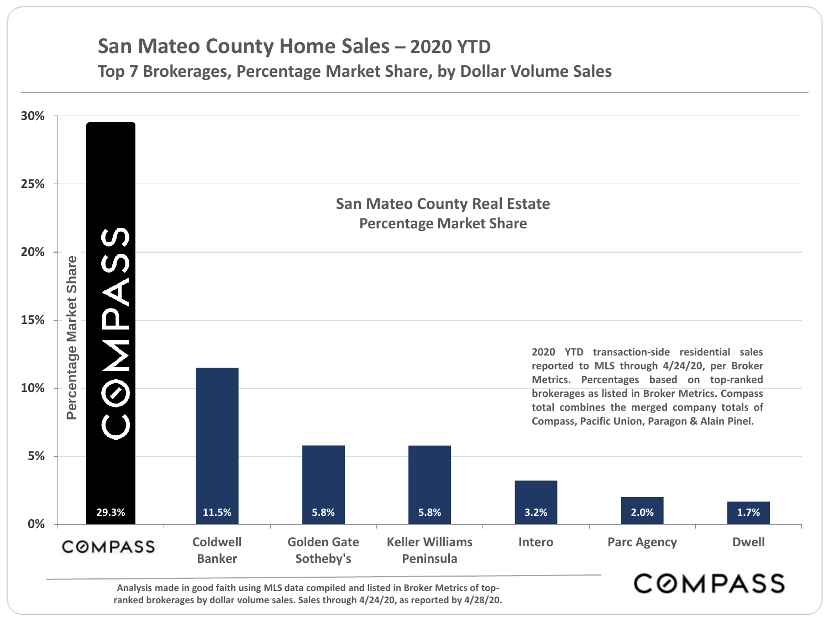# **San Mateo County Home Sales – 2020 YTD**

**Top 7 Brokerages, Percentage Market Share, by Dollar Volume Sales**



**Analysis made in good faith using MLS data compiled and listed in Broker Metrics of topranked brokerages by dollar volume sales. Sales through 4/24/20, as reported by 4/28/20.**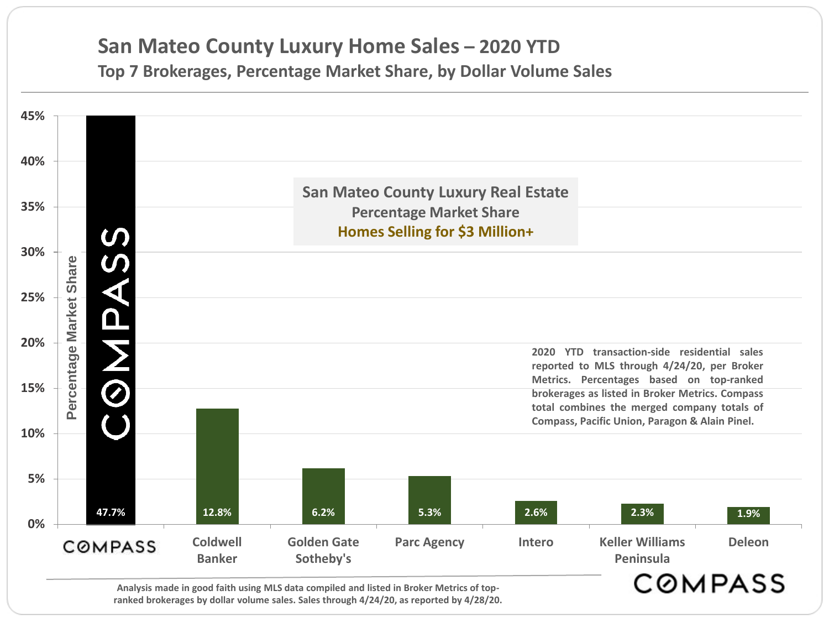### **San Mateo County Luxury Home Sales – 2020 YTD Top 7 Brokerages, Percentage Market Share, by Dollar Volume Sales**



**ranked brokerages by dollar volume sales. Sales through 4/24/20, as reported by 4/28/20.**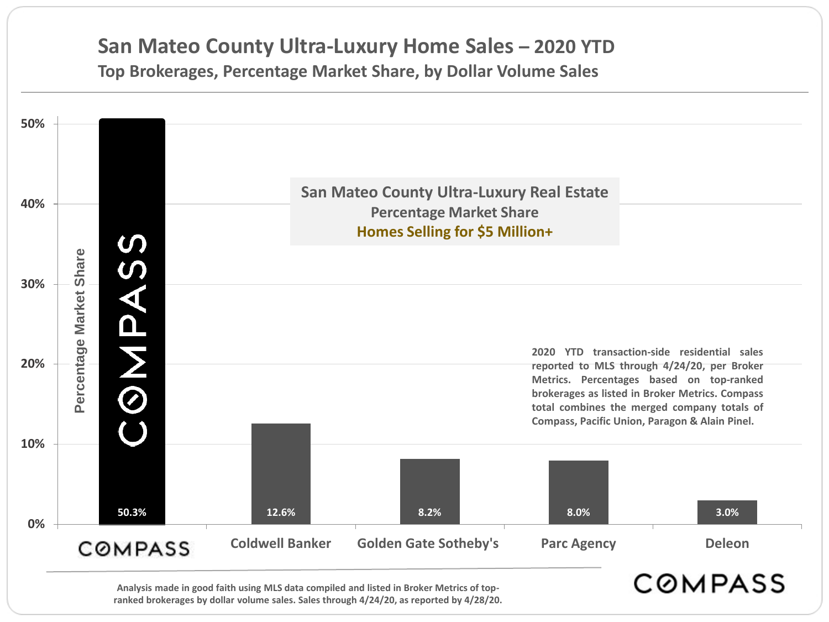### **San Mateo County Ultra-Luxury Home Sales – 2020 YTD Top Brokerages, Percentage Market Share, by Dollar Volume Sales**



**ranked brokerages by dollar volume sales. Sales through 4/24/20, as reported by 4/28/20.**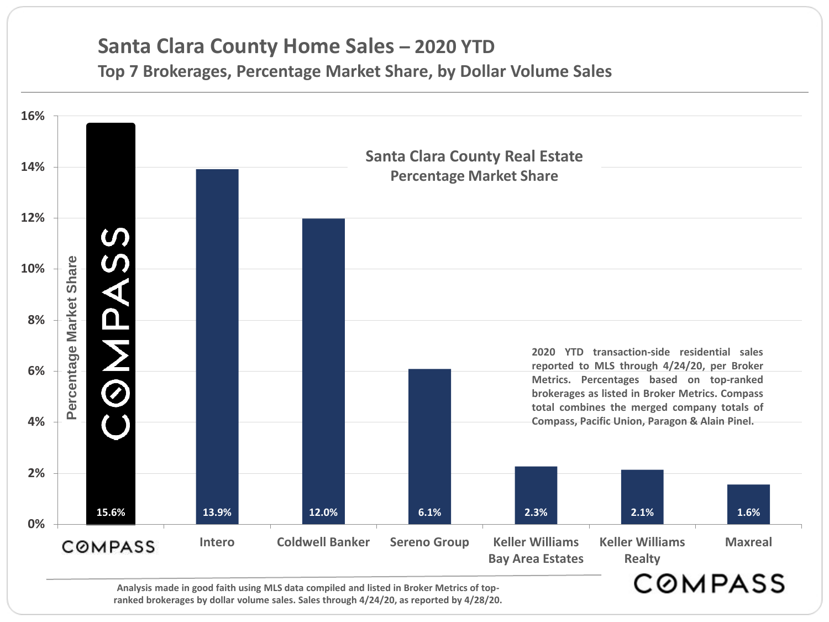## **Santa Clara County Home Sales – 2020 YTD**

**Top 7 Brokerages, Percentage Market Share, by Dollar Volume Sales**



**ranked brokerages by dollar volume sales. Sales through 4/24/20, as reported by 4/28/20.**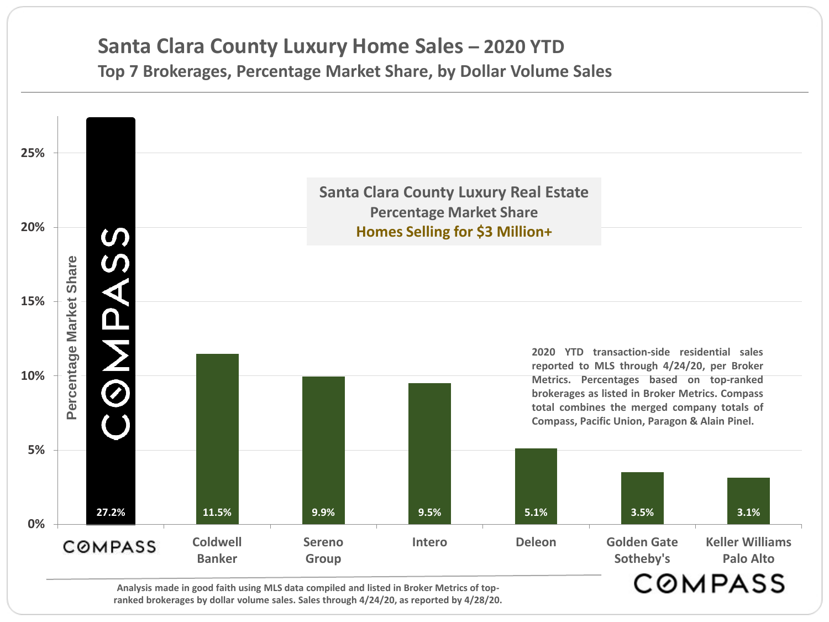### **Santa Clara County Luxury Home Sales – 2020 YTD Top 7 Brokerages, Percentage Market Share, by Dollar Volume Sales**



**Analysis made in good faith using MLS data compiled and listed in Broker Metrics of topranked brokerages by dollar volume sales. Sales through 4/24/20, as reported by 4/28/20.**